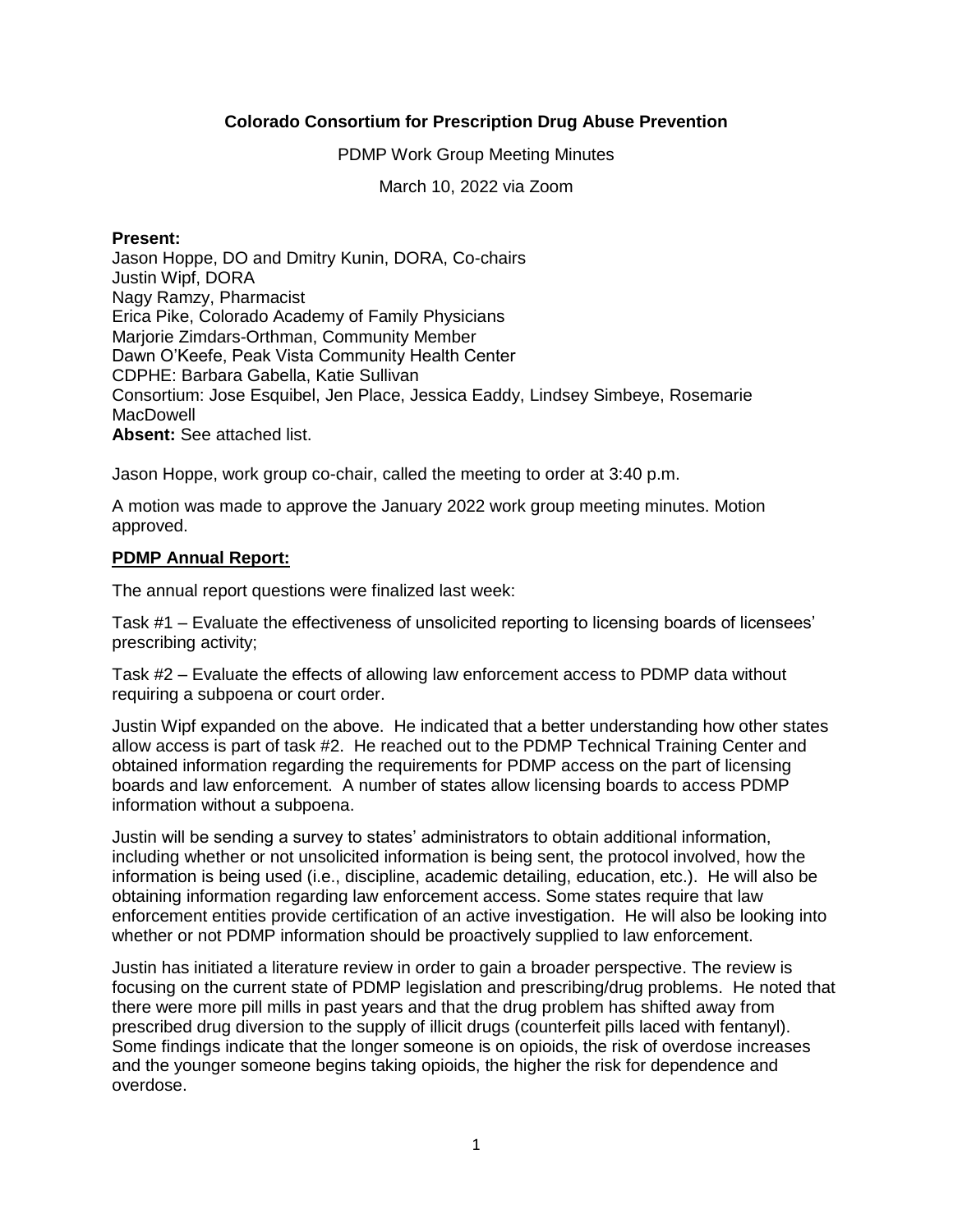## **Colorado Consortium for Prescription Drug Abuse Prevention**

PDMP Work Group Meeting Minutes

March 10, 2022 via Zoom

#### **Present:**

Jason Hoppe, DO and Dmitry Kunin, DORA, Co-chairs Justin Wipf, DORA Nagy Ramzy, Pharmacist Erica Pike, Colorado Academy of Family Physicians Marjorie Zimdars-Orthman, Community Member Dawn O'Keefe, Peak Vista Community Health Center CDPHE: Barbara Gabella, Katie Sullivan Consortium: Jose Esquibel, Jen Place, Jessica Eaddy, Lindsey Simbeye, Rosemarie **MacDowell Absent:** See attached list.

Jason Hoppe, work group co-chair, called the meeting to order at 3:40 p.m.

A motion was made to approve the January 2022 work group meeting minutes. Motion approved.

# **PDMP Annual Report:**

The annual report questions were finalized last week:

Task #1 – Evaluate the effectiveness of unsolicited reporting to licensing boards of licensees' prescribing activity;

Task #2 – Evaluate the effects of allowing law enforcement access to PDMP data without requiring a subpoena or court order.

Justin Wipf expanded on the above. He indicated that a better understanding how other states allow access is part of task #2. He reached out to the PDMP Technical Training Center and obtained information regarding the requirements for PDMP access on the part of licensing boards and law enforcement. A number of states allow licensing boards to access PDMP information without a subpoena.

Justin will be sending a survey to states' administrators to obtain additional information, including whether or not unsolicited information is being sent, the protocol involved, how the information is being used (i.e., discipline, academic detailing, education, etc.). He will also be obtaining information regarding law enforcement access. Some states require that law enforcement entities provide certification of an active investigation. He will also be looking into whether or not PDMP information should be proactively supplied to law enforcement.

Justin has initiated a literature review in order to gain a broader perspective. The review is focusing on the current state of PDMP legislation and prescribing/drug problems. He noted that there were more pill mills in past years and that the drug problem has shifted away from prescribed drug diversion to the supply of illicit drugs (counterfeit pills laced with fentanyl). Some findings indicate that the longer someone is on opioids, the risk of overdose increases and the younger someone begins taking opioids, the higher the risk for dependence and overdose.